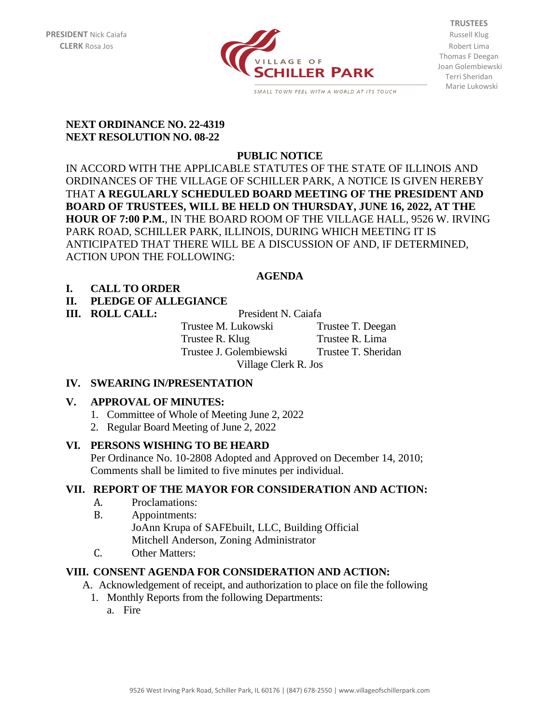

**TRUSTEES** Thomas F Deegan Joan Golembiewski Terri Sheridan Marie Lukowski

#### **NEXT ORDINANCE NO. 22-4319 NEXT RESOLUTION NO. 08-22**

# **PUBLIC NOTICE**

IN ACCORD WITH THE APPLICABLE STATUTES OF THE STATE OF ILLINOIS AND ORDINANCES OF THE VILLAGE OF SCHILLER PARK, A NOTICE IS GIVEN HEREBY THAT **A REGULARLY SCHEDULED BOARD MEETING OF THE PRESIDENT AND BOARD OF TRUSTEES, WILL BE HELD ON THURSDAY, JUNE 16, 2022, AT THE HOUR OF 7:00 P.M.**, IN THE BOARD ROOM OF THE VILLAGE HALL, 9526 W. IRVING PARK ROAD, SCHILLER PARK, ILLINOIS, DURING WHICH MEETING IT IS ANTICIPATED THAT THERE WILL BE A DISCUSSION OF AND, IF DETERMINED, ACTION UPON THE FOLLOWING:

# **AGENDA**

# **I. CALL TO ORDER**

# **II. PLEDGE OF ALLEGIANCE**

**III. ROLL CALL:** President N. Caiafa

Trustee M. Lukowski Trustee T. Deegan Trustee R. Klug Trustee R. Lima Trustee J. Golembiewski Trustee T. Sheridan Village Clerk R. Jos

#### **IV. SWEARING IN/PRESENTATION**

#### **V. APPROVAL OF MINUTES:**

- 1. Committee of Whole of Meeting June 2, 2022
- 2. Regular Board Meeting of June 2, 2022

#### **VI. PERSONS WISHING TO BE HEARD**

Per Ordinance No. 10-2808 Adopted and Approved on December 14, 2010; Comments shall be limited to five minutes per individual.

#### **VII. REPORT OF THE MAYOR FOR CONSIDERATION AND ACTION:**

- A. Proclamations:
- B. Appointments: JoAnn Krupa of SAFEbuilt, LLC, Building Official Mitchell Anderson, Zoning Administrator
- C. Other Matters:

#### **VIII. CONSENT AGENDA FOR CONSIDERATION AND ACTION:**

A. Acknowledgement of receipt, and authorization to place on file the following

- 1. Monthly Reports from the following Departments:
	- a. Fire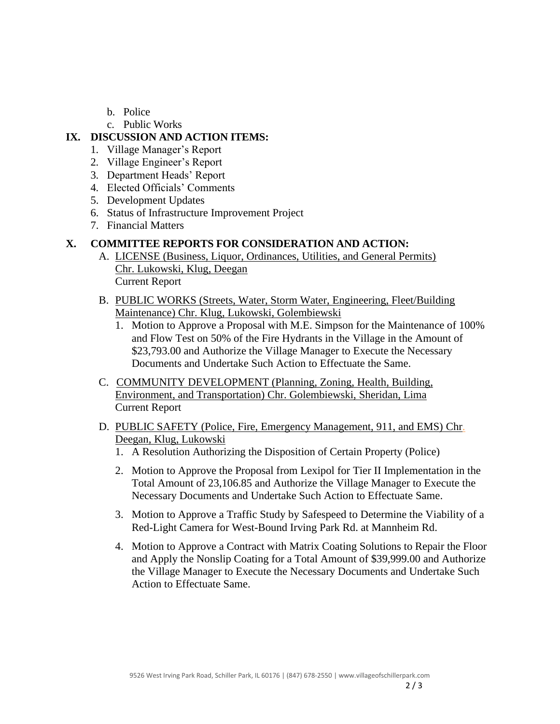- b. Police
- c. Public Works

### **IX. DISCUSSION AND ACTION ITEMS:**

- 1. Village Manager's Report
- 2. Village Engineer's Report
- 3. Department Heads' Report
- 4. Elected Officials' Comments
- 5. Development Updates
- 6. Status of Infrastructure Improvement Project
- 7. Financial Matters

# **X. COMMITTEE REPORTS FOR CONSIDERATION AND ACTION:**

- A. LICENSE (Business, Liquor, Ordinances, Utilities, and General Permits) Chr. Lukowski, Klug, Deegan Current Report
- B. PUBLIC WORKS (Streets, Water, Storm Water, Engineering, Fleet/Building Maintenance) Chr. Klug, Lukowski, Golembiewski
	- 1. Motion to Approve a Proposal with M.E. Simpson for the Maintenance of 100% and Flow Test on 50% of the Fire Hydrants in the Village in the Amount of \$23,793.00 and Authorize the Village Manager to Execute the Necessary Documents and Undertake Such Action to Effectuate the Same.
- C. COMMUNITY DEVELOPMENT (Planning, Zoning, Health, Building, Environment, and Transportation) Chr. Golembiewski, Sheridan, Lima Current Report
- D. PUBLIC SAFETY (Police, Fire, Emergency Management, 911, and EMS) Chr. Deegan, Klug, Lukowski
	- 1. A Resolution Authorizing the Disposition of Certain Property (Police)
	- 2. Motion to Approve the Proposal from Lexipol for Tier II Implementation in the Total Amount of 23,106.85 and Authorize the Village Manager to Execute the Necessary Documents and Undertake Such Action to Effectuate Same.
	- 3. Motion to Approve a Traffic Study by Safespeed to Determine the Viability of a Red-Light Camera for West-Bound Irving Park Rd. at Mannheim Rd.
	- 4. Motion to Approve a Contract with Matrix Coating Solutions to Repair the Floor and Apply the Nonslip Coating for a Total Amount of \$39,999.00 and Authorize the Village Manager to Execute the Necessary Documents and Undertake Such Action to Effectuate Same.